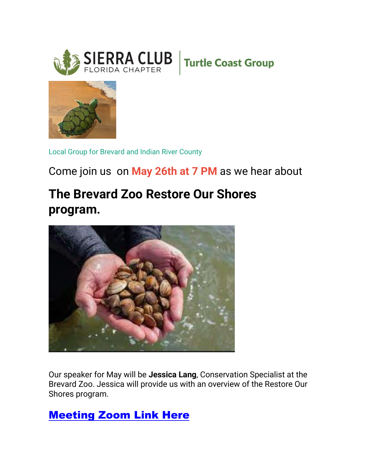





Local Group for Brevard and Indian River County

## Come join us on **May 26th at 7 PM** as we hear about

## **The Brevard Zoo Restore Our Shores program.**



Our speaker for May will be **Jessica Lang**, Conservation Specialist at the Brevard Zoo. Jessica will provide us with an overview of the Restore Our Shores program.

## [Meeting Zoom Link Here](https://click.emails.sierraclub.org/?qs=aeb8025345e264e91a51c55e93f4e9cc91a9f4c314dc895a04b410d987b44b05ff28f40ed4bb186a08f5415b03f79718b591bed25f440db9)